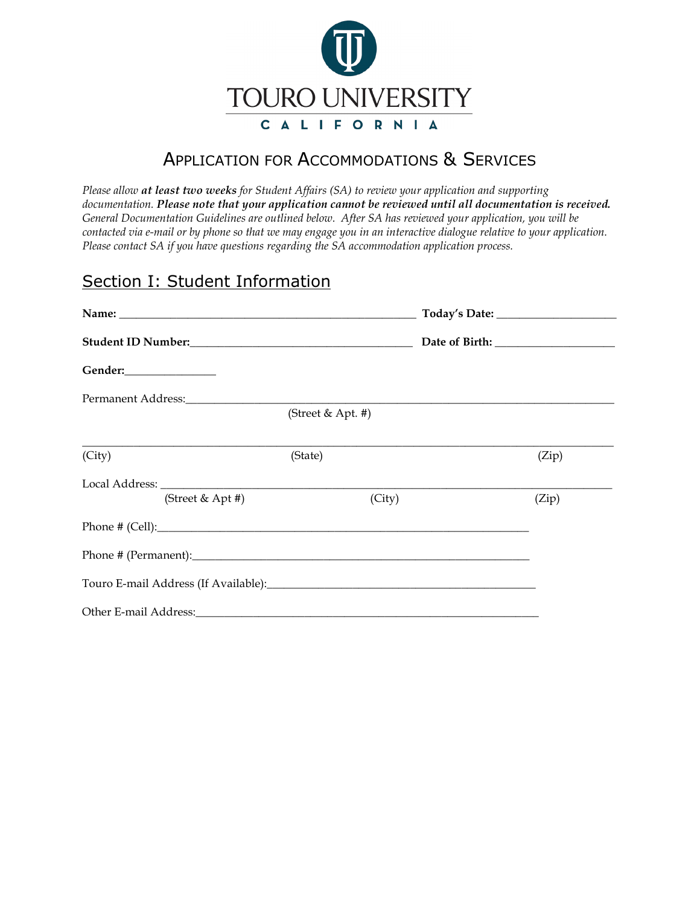

# APPLICATION FOR ACCOMMODATIONS & SERVICES

*Please allow at least two weeks for Student Affairs (SA) to review your application and supporting documentation. Please note that your application cannot be reviewed until all documentation is received. General Documentation Guidelines are outlined below. After SA has reviewed your application, you will be contacted via e-mail or by phone so that we may engage you in an interactive dialogue relative to your application. Please contact SA if you have questions regarding the SA accommodation application process.*

# Section I: Student Information

| Gender:_________________                                                                                       |                   |  |       |
|----------------------------------------------------------------------------------------------------------------|-------------------|--|-------|
| Permanent Address:                                                                                             |                   |  |       |
|                                                                                                                | (Street & Apt. #) |  |       |
| (City)                                                                                                         | (State)           |  | (Zip) |
|                                                                                                                |                   |  |       |
| (Street & Apt #)                                                                                               | (City)            |  | (Zip) |
|                                                                                                                |                   |  |       |
|                                                                                                                |                   |  |       |
| Touro E-mail Address (If Available): Notified a material control of the state of the state of the state of the |                   |  |       |
|                                                                                                                |                   |  |       |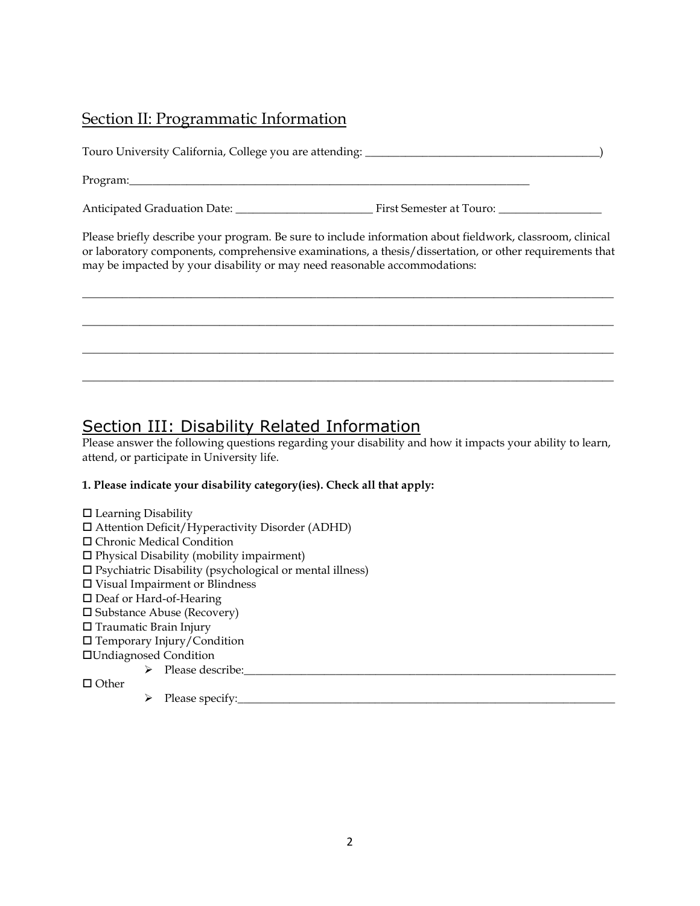#### Section II: Programmatic Information

Touro University California, College you are attending: \_\_\_\_\_\_\_\_\_\_\_\_\_\_\_\_\_\_\_\_\_\_\_\_\_\_\_\_\_\_\_\_\_\_\_\_\_\_\_\_\_)

Program:

Anticipated Graduation Date: \_\_\_\_\_\_\_\_\_\_\_\_\_\_\_\_\_\_\_\_\_\_\_\_ First Semester at Touro: \_\_\_\_\_\_\_\_\_\_\_\_\_\_\_\_\_\_

Please briefly describe your program. Be sure to include information about fieldwork, classroom, clinical or laboratory components, comprehensive examinations, a thesis/dissertation, or other requirements that may be impacted by your disability or may need reasonable accommodations:

**\_\_\_\_\_\_\_\_\_\_\_\_\_\_\_\_\_\_\_\_\_\_\_\_\_\_\_\_\_\_\_\_\_\_\_\_\_\_\_\_\_\_\_\_\_\_\_\_\_\_\_\_\_\_\_\_\_\_\_\_\_\_\_\_\_\_\_\_\_\_\_\_\_\_\_\_\_\_\_\_\_\_\_\_\_\_\_\_\_\_\_\_\_**

**\_\_\_\_\_\_\_\_\_\_\_\_\_\_\_\_\_\_\_\_\_\_\_\_\_\_\_\_\_\_\_\_\_\_\_\_\_\_\_\_\_\_\_\_\_\_\_\_\_\_\_\_\_\_\_\_\_\_\_\_\_\_\_\_\_\_\_\_\_\_\_\_\_\_\_\_\_\_\_\_\_\_\_\_\_\_\_\_\_\_\_\_\_**

**\_\_\_\_\_\_\_\_\_\_\_\_\_\_\_\_\_\_\_\_\_\_\_\_\_\_\_\_\_\_\_\_\_\_\_\_\_\_\_\_\_\_\_\_\_\_\_\_\_\_\_\_\_\_\_\_\_\_\_\_\_\_\_\_\_\_\_\_\_\_\_\_\_\_\_\_\_\_\_\_\_\_\_\_\_\_\_\_\_\_\_\_\_**

 $\mathcal{L}_\mathcal{L} = \{ \mathcal{L}_\mathcal{L} = \{ \mathcal{L}_\mathcal{L} = \{ \mathcal{L}_\mathcal{L} = \{ \mathcal{L}_\mathcal{L} = \{ \mathcal{L}_\mathcal{L} = \{ \mathcal{L}_\mathcal{L} = \{ \mathcal{L}_\mathcal{L} = \{ \mathcal{L}_\mathcal{L} = \{ \mathcal{L}_\mathcal{L} = \{ \mathcal{L}_\mathcal{L} = \{ \mathcal{L}_\mathcal{L} = \{ \mathcal{L}_\mathcal{L} = \{ \mathcal{L}_\mathcal{L} = \{ \mathcal{L}_\mathcal{$ 

# Section III: Disability Related Information

Please answer the following questions regarding your disability and how it impacts your ability to learn, attend, or participate in University life.

#### **1. Please indicate your disability category(ies). Check all that apply:**

 $\square$  Learning Disability Attention Deficit/Hyperactivity Disorder (ADHD) Chronic Medical Condition  $\square$  Physical Disability (mobility impairment)  $\square$  Psychiatric Disability (psychological or mental illness) Visual Impairment or Blindness □ Deaf or Hard-of-Hearing  $\square$  Substance Abuse (Recovery) □ Traumatic Brain Injury Temporary Injury/Condition Undiagnosed Condition  $\triangleright$  Please describe:

 $\Box$  Other

Please specify:\_\_\_\_\_\_\_\_\_\_\_\_\_\_\_\_\_\_\_\_\_\_\_\_\_\_\_\_\_\_\_\_\_\_\_\_\_\_\_\_\_\_\_\_\_\_\_\_\_\_\_\_\_\_\_\_\_\_\_\_\_\_\_\_\_\_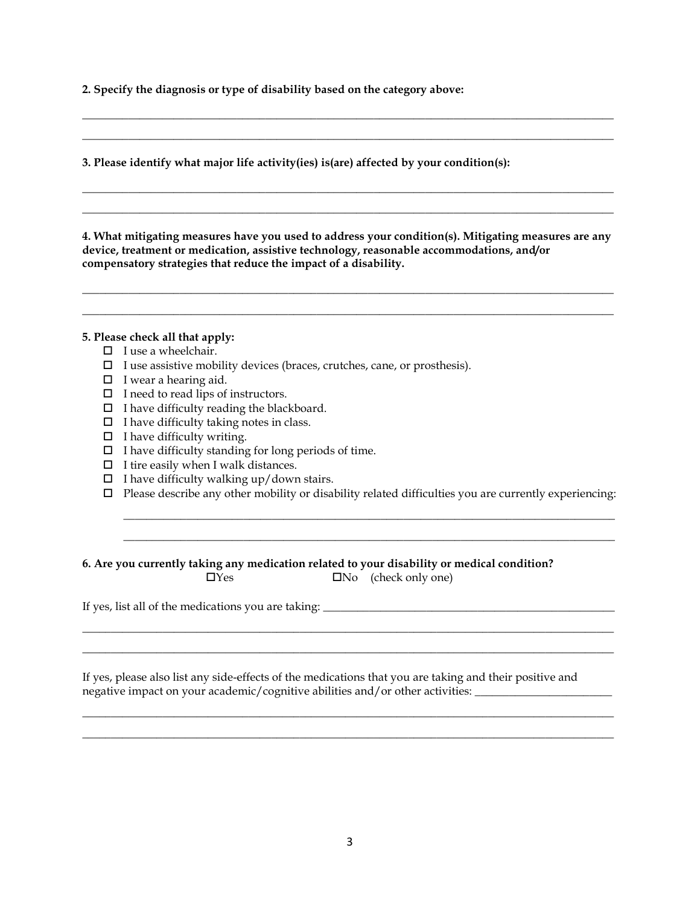**2. Specify the diagnosis or type of disability based on the category above:**

**3. Please identify what major life activity(ies) is(are) affected by your condition(s):** 

**4. What mitigating measures have you used to address your condition(s). Mitigating measures are any device, treatment or medication, assistive technology, reasonable accommodations, and/or compensatory strategies that reduce the impact of a disability.** 

**\_\_\_\_\_\_\_\_\_\_\_\_\_\_\_\_\_\_\_\_\_\_\_\_\_\_\_\_\_\_\_\_\_\_\_\_\_\_\_\_\_\_\_\_\_\_\_\_\_\_\_\_\_\_\_\_\_\_\_\_\_\_\_\_\_\_\_\_\_\_\_\_\_\_\_\_\_\_\_\_\_\_\_\_\_\_\_\_\_\_\_\_\_ \_\_\_\_\_\_\_\_\_\_\_\_\_\_\_\_\_\_\_\_\_\_\_\_\_\_\_\_\_\_\_\_\_\_\_\_\_\_\_\_\_\_\_\_\_\_\_\_\_\_\_\_\_\_\_\_\_\_\_\_\_\_\_\_\_\_\_\_\_\_\_\_\_\_\_\_\_\_\_\_\_\_\_\_\_\_\_\_\_\_\_\_\_**

**\_\_\_\_\_\_\_\_\_\_\_\_\_\_\_\_\_\_\_\_\_\_\_\_\_\_\_\_\_\_\_\_\_\_\_\_\_\_\_\_\_\_\_\_\_\_\_\_\_\_\_\_\_\_\_\_\_\_\_\_\_\_\_\_\_\_\_\_\_\_\_\_\_\_\_\_\_\_\_\_\_\_\_\_\_\_\_\_\_\_\_\_\_ \_\_\_\_\_\_\_\_\_\_\_\_\_\_\_\_\_\_\_\_\_\_\_\_\_\_\_\_\_\_\_\_\_\_\_\_\_\_\_\_\_\_\_\_\_\_\_\_\_\_\_\_\_\_\_\_\_\_\_\_\_\_\_\_\_\_\_\_\_\_\_\_\_\_\_\_\_\_\_\_\_\_\_\_\_\_\_\_\_\_\_\_\_**

**\_\_\_\_\_\_\_\_\_\_\_\_\_\_\_\_\_\_\_\_\_\_\_\_\_\_\_\_\_\_\_\_\_\_\_\_\_\_\_\_\_\_\_\_\_\_\_\_\_\_\_\_\_\_\_\_\_\_\_\_\_\_\_\_\_\_\_\_\_\_\_\_\_\_\_\_\_\_\_\_\_\_\_\_\_\_\_\_\_\_\_\_\_ \_\_\_\_\_\_\_\_\_\_\_\_\_\_\_\_\_\_\_\_\_\_\_\_\_\_\_\_\_\_\_\_\_\_\_\_\_\_\_\_\_\_\_\_\_\_\_\_\_\_\_\_\_\_\_\_\_\_\_\_\_\_\_\_\_\_\_\_\_\_\_\_\_\_\_\_\_\_\_\_\_\_\_\_\_\_\_\_\_\_\_\_\_**

#### **5. Please check all that apply:**

- $\Box$  I use a wheelchair.
- $\square$  I use assistive mobility devices (braces, crutches, cane, or prosthesis).
- $\Box$  I wear a hearing aid.
- $\Box$  I need to read lips of instructors.
- $\Box$  I have difficulty reading the blackboard.
- $\Box$  I have difficulty taking notes in class.
- $\Box$  I have difficulty writing.
- $\Box$  I have difficulty standing for long periods of time.
- $\Box$  I tire easily when I walk distances.
- $\Box$  I have difficulty walking up/down stairs.
- $\Box$  Please describe any other mobility or disability related difficulties you are currently experiencing:

 $\mathcal{L}_\mathcal{L} = \{ \mathcal{L}_\mathcal{L} = \{ \mathcal{L}_\mathcal{L} = \{ \mathcal{L}_\mathcal{L} = \{ \mathcal{L}_\mathcal{L} = \{ \mathcal{L}_\mathcal{L} = \{ \mathcal{L}_\mathcal{L} = \{ \mathcal{L}_\mathcal{L} = \{ \mathcal{L}_\mathcal{L} = \{ \mathcal{L}_\mathcal{L} = \{ \mathcal{L}_\mathcal{L} = \{ \mathcal{L}_\mathcal{L} = \{ \mathcal{L}_\mathcal{L} = \{ \mathcal{L}_\mathcal{L} = \{ \mathcal{L}_\mathcal{$  $\overline{\phantom{a}}$  ,  $\overline{\phantom{a}}$  ,  $\overline{\phantom{a}}$  ,  $\overline{\phantom{a}}$  ,  $\overline{\phantom{a}}$  ,  $\overline{\phantom{a}}$  ,  $\overline{\phantom{a}}$  ,  $\overline{\phantom{a}}$  ,  $\overline{\phantom{a}}$  ,  $\overline{\phantom{a}}$  ,  $\overline{\phantom{a}}$  ,  $\overline{\phantom{a}}$  ,  $\overline{\phantom{a}}$  ,  $\overline{\phantom{a}}$  ,  $\overline{\phantom{a}}$  ,  $\overline{\phantom{a}}$ 

#### **6. Are you currently taking any medication related to your disability or medical condition?**

 $\Box$ Yes  $\Box$ No (check only one)

If yes, list all of the medications you are taking: \_\_\_\_\_\_\_\_\_\_\_\_\_\_\_\_\_\_\_\_\_\_\_\_\_\_\_\_\_\_\_\_\_\_\_\_\_\_\_\_\_\_\_\_\_\_\_\_\_\_\_

If yes, please also list any side-effects of the medications that you are taking and their positive and negative impact on your academic/cognitive abilities and/or other activities: \_\_\_\_\_\_\_\_\_\_\_\_\_\_\_\_\_\_\_\_\_\_\_\_\_\_\_\_\_\_\_\_

 $\mathcal{L}_\mathcal{L} = \{ \mathcal{L}_\mathcal{L} = \{ \mathcal{L}_\mathcal{L} = \{ \mathcal{L}_\mathcal{L} = \{ \mathcal{L}_\mathcal{L} = \{ \mathcal{L}_\mathcal{L} = \{ \mathcal{L}_\mathcal{L} = \{ \mathcal{L}_\mathcal{L} = \{ \mathcal{L}_\mathcal{L} = \{ \mathcal{L}_\mathcal{L} = \{ \mathcal{L}_\mathcal{L} = \{ \mathcal{L}_\mathcal{L} = \{ \mathcal{L}_\mathcal{L} = \{ \mathcal{L}_\mathcal{L} = \{ \mathcal{L}_\mathcal{$  $\mathcal{L}_\mathcal{L} = \{ \mathcal{L}_\mathcal{L} = \{ \mathcal{L}_\mathcal{L} = \{ \mathcal{L}_\mathcal{L} = \{ \mathcal{L}_\mathcal{L} = \{ \mathcal{L}_\mathcal{L} = \{ \mathcal{L}_\mathcal{L} = \{ \mathcal{L}_\mathcal{L} = \{ \mathcal{L}_\mathcal{L} = \{ \mathcal{L}_\mathcal{L} = \{ \mathcal{L}_\mathcal{L} = \{ \mathcal{L}_\mathcal{L} = \{ \mathcal{L}_\mathcal{L} = \{ \mathcal{L}_\mathcal{L} = \{ \mathcal{L}_\mathcal{$ 

 $\mathcal{L}_\mathcal{L} = \{ \mathcal{L}_\mathcal{L} = \{ \mathcal{L}_\mathcal{L} = \{ \mathcal{L}_\mathcal{L} = \{ \mathcal{L}_\mathcal{L} = \{ \mathcal{L}_\mathcal{L} = \{ \mathcal{L}_\mathcal{L} = \{ \mathcal{L}_\mathcal{L} = \{ \mathcal{L}_\mathcal{L} = \{ \mathcal{L}_\mathcal{L} = \{ \mathcal{L}_\mathcal{L} = \{ \mathcal{L}_\mathcal{L} = \{ \mathcal{L}_\mathcal{L} = \{ \mathcal{L}_\mathcal{L} = \{ \mathcal{L}_\mathcal{$  $\mathcal{L}_\mathcal{L} = \{ \mathcal{L}_\mathcal{L} = \{ \mathcal{L}_\mathcal{L} = \{ \mathcal{L}_\mathcal{L} = \{ \mathcal{L}_\mathcal{L} = \{ \mathcal{L}_\mathcal{L} = \{ \mathcal{L}_\mathcal{L} = \{ \mathcal{L}_\mathcal{L} = \{ \mathcal{L}_\mathcal{L} = \{ \mathcal{L}_\mathcal{L} = \{ \mathcal{L}_\mathcal{L} = \{ \mathcal{L}_\mathcal{L} = \{ \mathcal{L}_\mathcal{L} = \{ \mathcal{L}_\mathcal{L} = \{ \mathcal{L}_\mathcal{$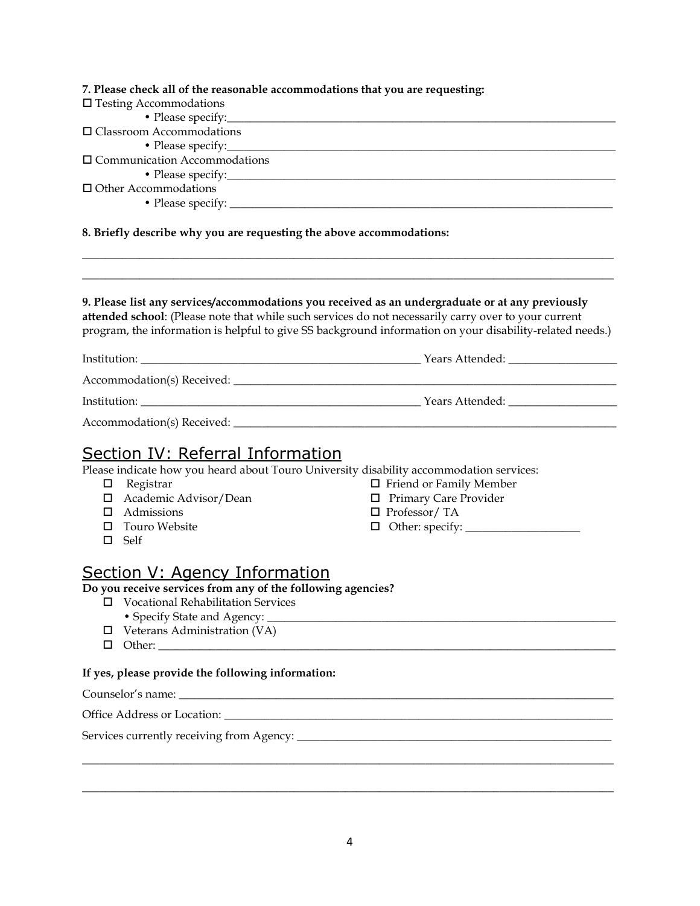| 7. Please check all of the reasonable accommodations that you are requesting:                                                                         |                                                                                                                                                                                                                                                                                                                      |  |  |  |                                     |  |
|-------------------------------------------------------------------------------------------------------------------------------------------------------|----------------------------------------------------------------------------------------------------------------------------------------------------------------------------------------------------------------------------------------------------------------------------------------------------------------------|--|--|--|-------------------------------------|--|
| $\Box$ Testing Accommodations<br>• Please specify:<br>□ Classroom Accommodations                                                                      |                                                                                                                                                                                                                                                                                                                      |  |  |  |                                     |  |
|                                                                                                                                                       |                                                                                                                                                                                                                                                                                                                      |  |  |  | • Please specify:                   |  |
|                                                                                                                                                       |                                                                                                                                                                                                                                                                                                                      |  |  |  | $\Box$ Communication Accommodations |  |
|                                                                                                                                                       |                                                                                                                                                                                                                                                                                                                      |  |  |  |                                     |  |
| $\Box$ Other Accommodations                                                                                                                           |                                                                                                                                                                                                                                                                                                                      |  |  |  |                                     |  |
|                                                                                                                                                       |                                                                                                                                                                                                                                                                                                                      |  |  |  |                                     |  |
| 8. Briefly describe why you are requesting the above accommodations:                                                                                  |                                                                                                                                                                                                                                                                                                                      |  |  |  |                                     |  |
|                                                                                                                                                       | 9. Please list any services/accommodations you received as an undergraduate or at any previously<br>attended school: (Please note that while such services do not necessarily carry over to your current<br>program, the information is helpful to give SS background information on your disability-related needs.) |  |  |  |                                     |  |
|                                                                                                                                                       |                                                                                                                                                                                                                                                                                                                      |  |  |  |                                     |  |
|                                                                                                                                                       |                                                                                                                                                                                                                                                                                                                      |  |  |  |                                     |  |
|                                                                                                                                                       |                                                                                                                                                                                                                                                                                                                      |  |  |  |                                     |  |
|                                                                                                                                                       |                                                                                                                                                                                                                                                                                                                      |  |  |  |                                     |  |
|                                                                                                                                                       |                                                                                                                                                                                                                                                                                                                      |  |  |  |                                     |  |
| <b>Section IV: Referral Information</b>                                                                                                               |                                                                                                                                                                                                                                                                                                                      |  |  |  |                                     |  |
| Please indicate how you heard about Touro University disability accommodation services:                                                               |                                                                                                                                                                                                                                                                                                                      |  |  |  |                                     |  |
| Registrar<br>$\Box$                                                                                                                                   | $\Box$ Friend or Family Member                                                                                                                                                                                                                                                                                       |  |  |  |                                     |  |
| □ Academic Advisor/Dean                                                                                                                               | □ Primary Care Provider                                                                                                                                                                                                                                                                                              |  |  |  |                                     |  |
| $\Box$ Admissions                                                                                                                                     | $\Box$ Professor/TA                                                                                                                                                                                                                                                                                                  |  |  |  |                                     |  |
| Touro Website                                                                                                                                         | $\Box$ Other: specify: $\_\_\_\_\_\_\_\_\_\_\_\_\_\_$                                                                                                                                                                                                                                                                |  |  |  |                                     |  |
| $\square$ Self                                                                                                                                        |                                                                                                                                                                                                                                                                                                                      |  |  |  |                                     |  |
| <b>Section V: Agency Information</b><br>Do you receive services from any of the following agencies?<br><b>Vocational Rehabilitation Services</b><br>□ |                                                                                                                                                                                                                                                                                                                      |  |  |  |                                     |  |
| • Specify State and Agency: _                                                                                                                         |                                                                                                                                                                                                                                                                                                                      |  |  |  |                                     |  |
| Veterans Administration (VA)<br>□                                                                                                                     |                                                                                                                                                                                                                                                                                                                      |  |  |  |                                     |  |
|                                                                                                                                                       |                                                                                                                                                                                                                                                                                                                      |  |  |  |                                     |  |
| If yes, please provide the following information:                                                                                                     |                                                                                                                                                                                                                                                                                                                      |  |  |  |                                     |  |
|                                                                                                                                                       |                                                                                                                                                                                                                                                                                                                      |  |  |  |                                     |  |
|                                                                                                                                                       |                                                                                                                                                                                                                                                                                                                      |  |  |  |                                     |  |
|                                                                                                                                                       |                                                                                                                                                                                                                                                                                                                      |  |  |  |                                     |  |
|                                                                                                                                                       |                                                                                                                                                                                                                                                                                                                      |  |  |  |                                     |  |
|                                                                                                                                                       |                                                                                                                                                                                                                                                                                                                      |  |  |  |                                     |  |
|                                                                                                                                                       |                                                                                                                                                                                                                                                                                                                      |  |  |  |                                     |  |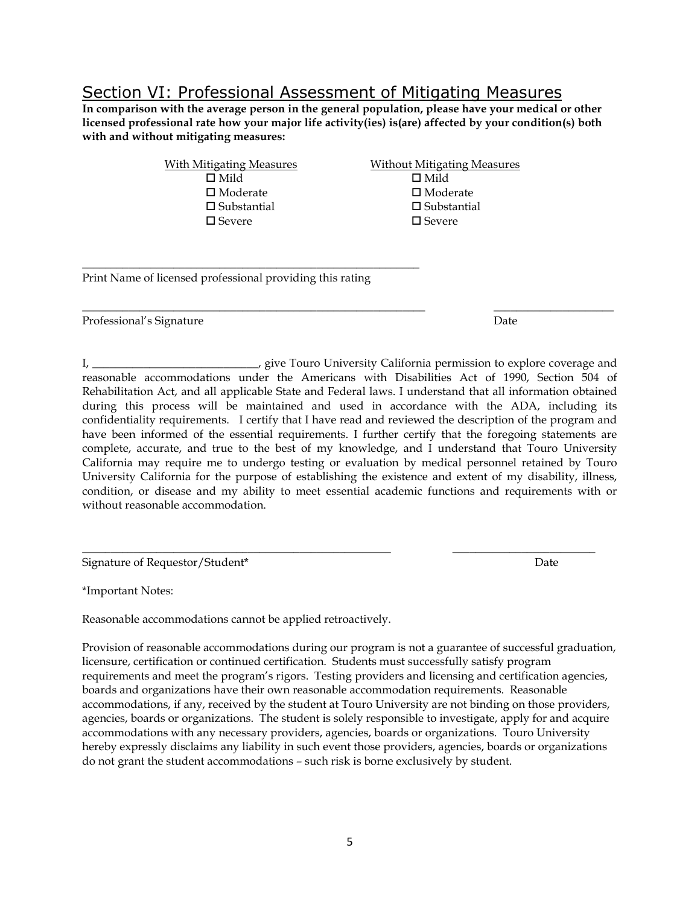### Section VI: Professional Assessment of Mitigating Measures

**In comparison with the average person in the general population, please have your medical or other licensed professional rate how your major life activity(ies) is(are) affected by your condition(s) both with and without mitigating measures:**

| <b>With Mitigating Measures</b> | <b>Without Mitigating Measures</b> |
|---------------------------------|------------------------------------|
| $\Box$ Mild                     | $\Box$ Mild                        |
| $\square$ Moderate              | $\square$ Moderate                 |
| $\square$ Substantial           | $\square$ Substantial              |
| $\square$ Severe                | $\square$ Severe                   |
|                                 |                                    |

\_\_\_\_\_\_\_\_\_\_\_\_\_\_\_\_\_\_\_\_\_\_\_\_\_\_\_\_\_\_\_\_\_\_\_\_\_\_\_\_\_\_\_\_\_\_\_\_\_\_\_\_\_\_\_\_\_\_\_\_ \_\_\_\_\_\_\_\_\_\_\_\_\_\_\_\_\_\_\_\_\_

Print Name of licensed professional providing this rating

\_\_\_\_\_\_\_\_\_\_\_\_\_\_\_\_\_\_\_\_\_\_\_\_\_\_\_\_\_\_\_\_\_\_\_\_\_\_\_\_\_\_\_\_\_\_\_\_\_\_\_\_\_\_\_\_\_\_\_

Professional's Signature Date

I, \_\_\_\_\_\_\_\_\_\_\_\_\_\_\_\_\_\_\_\_\_\_\_\_\_\_\_\_\_, give Touro University California permission to explore coverage and reasonable accommodations under the Americans with Disabilities Act of 1990, Section 504 of

Rehabilitation Act, and all applicable State and Federal laws. I understand that all information obtained during this process will be maintained and used in accordance with the ADA, including its confidentiality requirements. I certify that I have read and reviewed the description of the program and have been informed of the essential requirements. I further certify that the foregoing statements are complete, accurate, and true to the best of my knowledge, and I understand that Touro University California may require me to undergo testing or evaluation by medical personnel retained by Touro University California for the purpose of establishing the existence and extent of my disability, illness, condition, or disease and my ability to meet essential academic functions and requirements with or without reasonable accommodation.

\_\_\_\_\_\_\_\_\_\_\_\_\_\_\_\_\_\_\_\_\_\_\_\_\_\_\_\_\_\_\_\_\_\_\_\_\_\_\_\_\_\_\_\_\_\_\_\_\_\_\_\_\_\_ \_\_\_\_\_\_\_\_\_\_\_\_\_\_\_\_\_\_\_\_\_\_\_\_\_

Signature of Requestor/Student\* Date of Requestor Student\* Date of Reduction 2011 10:00  $\mathbb{R}$  Date

\*Important Notes:

Reasonable accommodations cannot be applied retroactively.

Provision of reasonable accommodations during our program is not a guarantee of successful graduation, licensure, certification or continued certification. Students must successfully satisfy program requirements and meet the program's rigors. Testing providers and licensing and certification agencies, boards and organizations have their own reasonable accommodation requirements. Reasonable accommodations, if any, received by the student at Touro University are not binding on those providers, agencies, boards or organizations. The student is solely responsible to investigate, apply for and acquire accommodations with any necessary providers, agencies, boards or organizations. Touro University hereby expressly disclaims any liability in such event those providers, agencies, boards or organizations do not grant the student accommodations – such risk is borne exclusively by student.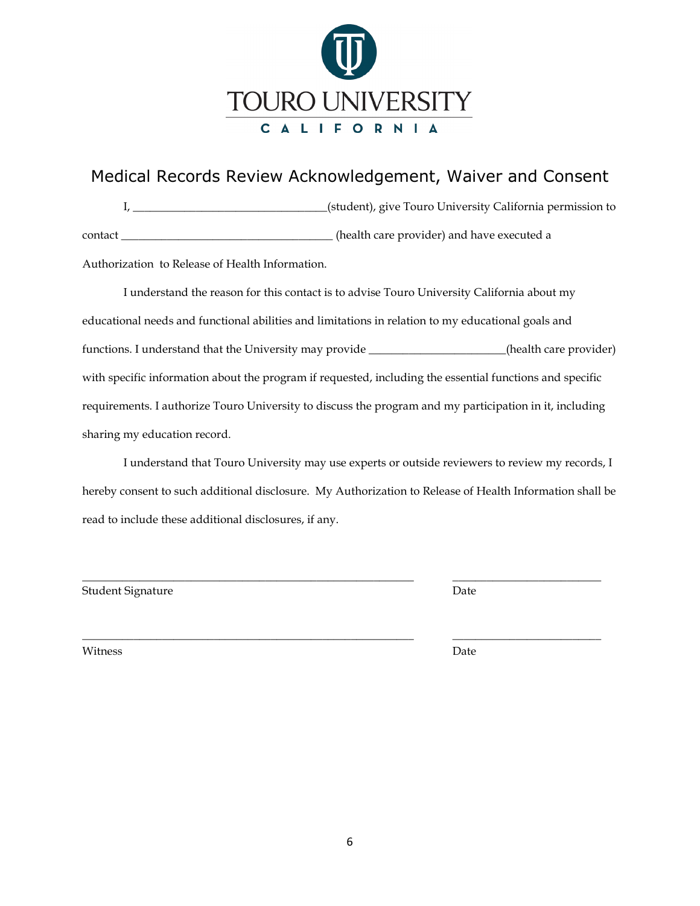

# Medical Records Review Acknowledgement, Waiver and Consent

I, \_\_\_\_\_\_\_\_\_\_\_\_\_\_\_\_\_\_\_\_\_\_\_\_\_\_\_\_\_\_\_\_\_\_(student), give Touro University California permission to contact \_\_\_\_\_\_\_\_\_\_\_\_\_\_\_\_\_\_\_\_\_\_\_\_\_\_\_\_\_\_\_\_\_\_\_\_\_ (health care provider) and have executed a

Authorization to Release of Health Information.

I understand the reason for this contact is to advise Touro University California about my educational needs and functional abilities and limitations in relation to my educational goals and functions. I understand that the University may provide \_\_\_\_\_\_\_\_\_\_\_\_\_\_\_\_\_\_\_\_\_\_\_\_(health care provider) with specific information about the program if requested, including the essential functions and specific requirements. I authorize Touro University to discuss the program and my participation in it, including sharing my education record.

I understand that Touro University may use experts or outside reviewers to review my records, I hereby consent to such additional disclosure. My Authorization to Release of Health Information shall be read to include these additional disclosures, if any.

\_\_\_\_\_\_\_\_\_\_\_\_\_\_\_\_\_\_\_\_\_\_\_\_\_\_\_\_\_\_\_\_\_\_\_\_\_\_\_\_\_\_\_\_\_\_\_\_\_\_\_\_\_\_\_\_\_\_ \_\_\_\_\_\_\_\_\_\_\_\_\_\_\_\_\_\_\_\_\_\_\_\_\_\_

\_\_\_\_\_\_\_\_\_\_\_\_\_\_\_\_\_\_\_\_\_\_\_\_\_\_\_\_\_\_\_\_\_\_\_\_\_\_\_\_\_\_\_\_\_\_\_\_\_\_\_\_\_\_\_\_\_\_ \_\_\_\_\_\_\_\_\_\_\_\_\_\_\_\_\_\_\_\_\_\_\_\_\_\_

Student Signature Date

Witness Date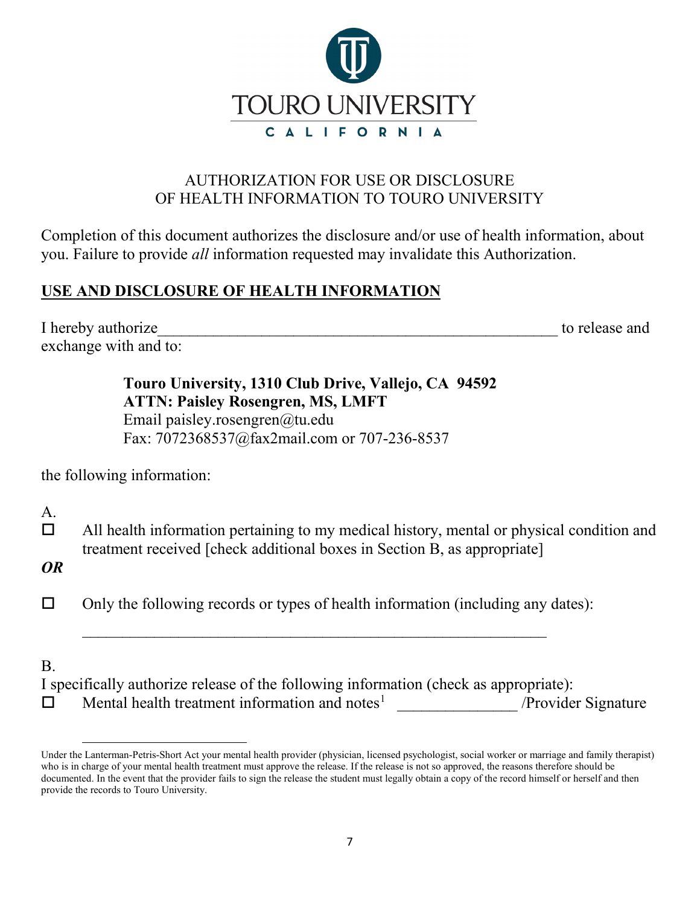

# AUTHORIZATION FOR USE OR DISCLOSURE OF HEALTH INFORMATION TO TOURO UNIVERSITY

Completion of this document authorizes the disclosure and/or use of health information, about you. Failure to provide *all* information requested may invalidate this Authorization.

# **USE AND DISCLOSURE OF HEALTH INFORMATION**

I hereby authorize the state of the state of the state of the state of the state and to release and exchange with and to:

> **Touro University, 1310 Club Drive, Vallejo, CA 94592 ATTN: Paisley Rosengren, MS, LMFT**  Email paisley.rosengren@tu.edu Fax: 7072368537@fax2mail.com or 707-236-8537

the following information:

A.

 $\Box$  All health information pertaining to my medical history, mental or physical condition and treatment received [check additional boxes in Section B, as appropriate]

*OR*

 $\Box$  Only the following records or types of health information (including any dates):

 $\overline{\phantom{a}}$  , and the contribution of the contribution of the contribution of the contribution of the contribution of the contribution of the contribution of the contribution of the contribution of the contribution of the

#### B.

| I specifically authorize release of the following information (check as appropriate): |                     |
|---------------------------------------------------------------------------------------|---------------------|
| Mental health treatment information and notes <sup>1</sup>                            | /Provider Signature |

<span id="page-6-0"></span>Under the Lanterman-Petris-Short Act your mental health provider (physician, licensed psychologist, social worker or marriage and family therapist) who is in charge of your mental health treatment must approve the release. If the release is not so approved, the reasons therefore should be documented. In the event that the provider fails to sign the release the student must legally obtain a copy of the record himself or herself and then provide the records to Touro University.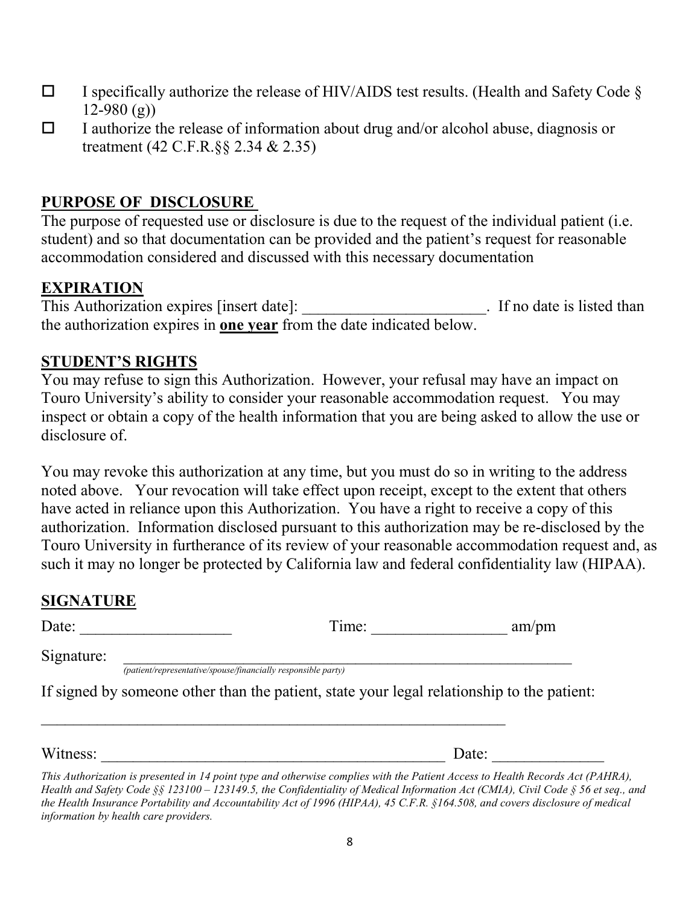- $\Box$  I specifically authorize the release of HIV/AIDS test results. (Health and Safety Code §  $12-980$  (g))
- $\Box$  I authorize the release of information about drug and/or alcohol abuse, diagnosis or treatment (42 C.F.R.§§ 2.34 & 2.35)

# **PURPOSE OF DISCLOSURE**

The purpose of requested use or disclosure is due to the request of the individual patient (i.e. student) and so that documentation can be provided and the patient's request for reasonable accommodation considered and discussed with this necessary documentation

### **EXPIRATION**

This Authorization expires [insert date]:  $\qquad \qquad$  If no date is listed than the authorization expires in **one year** from the date indicated below.

### **STUDENT'S RIGHTS**

You may refuse to sign this Authorization. However, your refusal may have an impact on Touro University's ability to consider your reasonable accommodation request. You may inspect or obtain a copy of the health information that you are being asked to allow the use or disclosure of.

You may revoke this authorization at any time, but you must do so in writing to the address noted above. Your revocation will take effect upon receipt, except to the extent that others have acted in reliance upon this Authorization. You have a right to receive a copy of this authorization. Information disclosed pursuant to this authorization may be re-disclosed by the Touro University in furtherance of its review of your reasonable accommodation request and, as such it may no longer be protected by California law and federal confidentiality law (HIPAA).

## **SIGNATURE**

| Date:      | Time:                                                                                      | am/pm |
|------------|--------------------------------------------------------------------------------------------|-------|
| Signature: | (patient/representative/spouse/financially responsible party)                              |       |
|            | If signed by someone other than the patient, state your legal relationship to the patient: |       |
| Witness:   |                                                                                            | Date: |

*This Authorization is presented in 14 point type and otherwise complies with the Patient Access to Health Records Act (PAHRA), Health and Safety Code §§ 123100 – 123149.5, the Confidentiality of Medical Information Act (CMIA), Civil Code § 56 et seq., and the Health Insurance Portability and Accountability Act of 1996 (HIPAA), 45 C.F.R. §164.508, and covers disclosure of medical information by health care providers.*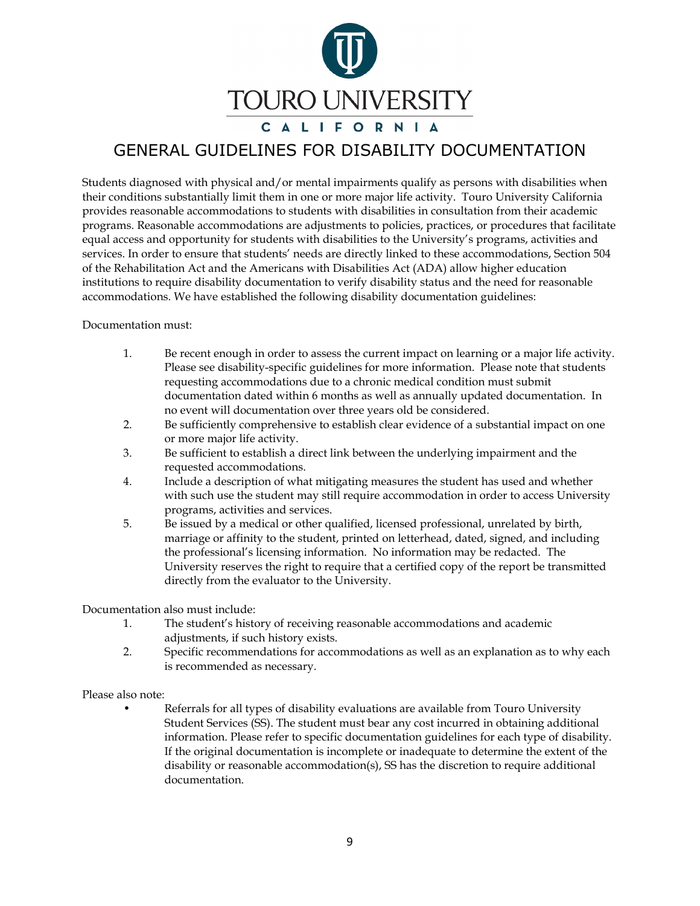

# GENERAL GUIDELINES FOR DISABILITY DOCUMENTATION

Students diagnosed with physical and/or mental impairments qualify as persons with disabilities when their conditions substantially limit them in one or more major life activity. Touro University California provides reasonable accommodations to students with disabilities in consultation from their academic programs. Reasonable accommodations are adjustments to policies, practices, or procedures that facilitate equal access and opportunity for students with disabilities to the University's programs, activities and services. In order to ensure that students' needs are directly linked to these accommodations, Section 504 of the Rehabilitation Act and the Americans with Disabilities Act (ADA) allow higher education institutions to require disability documentation to verify disability status and the need for reasonable accommodations. We have established the following disability documentation guidelines:

Documentation must:

- 1. Be recent enough in order to assess the current impact on learning or a major life activity. Please see disability-specific guidelines for more information. Please note that students requesting accommodations due to a chronic medical condition must submit documentation dated within 6 months as well as annually updated documentation. In no event will documentation over three years old be considered.
- 2. Be sufficiently comprehensive to establish clear evidence of a substantial impact on one or more major life activity.
- 3. Be sufficient to establish a direct link between the underlying impairment and the requested accommodations.
- 4. Include a description of what mitigating measures the student has used and whether with such use the student may still require accommodation in order to access University programs, activities and services.
- 5. Be issued by a medical or other qualified, licensed professional, unrelated by birth, marriage or affinity to the student, printed on letterhead, dated, signed, and including the professional's licensing information. No information may be redacted. The University reserves the right to require that a certified copy of the report be transmitted directly from the evaluator to the University.

Documentation also must include:

- 1. The student's history of receiving reasonable accommodations and academic adjustments, if such history exists.
- 2. Specific recommendations for accommodations as well as an explanation as to why each is recommended as necessary.

Please also note:

• Referrals for all types of disability evaluations are available from Touro University Student Services (SS). The student must bear any cost incurred in obtaining additional information. Please refer to specific documentation guidelines for each type of disability. If the original documentation is incomplete or inadequate to determine the extent of the disability or reasonable accommodation(s), SS has the discretion to require additional documentation.